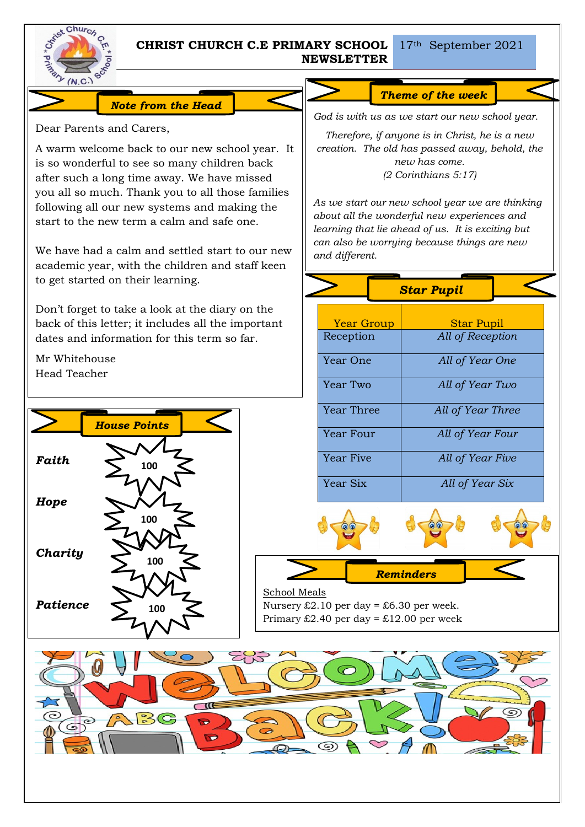

## **CHRIST CHURCH C.E PRIMARY SCHOOL NEWSLETTER**

17th September 2021

# *Note from the Head*

Dear Parents and Carers,

A warm welcome back to our new school year. It is so wonderful to see so many children back after such a long time away. We have missed you all so much. Thank you to all those families following all our new systems and making the start to the new term a calm and safe one.

We have had a calm and settled start to our new academic year, with the children and staff keen to get started on their learning.

Don't forget to take a look at the diary on the back of this letter; it includes all the important dates and information for this term so far.

Mr Whitehouse Head Teacher



# *Theme of the week*

*God is with us as we start our new school year.*

*Therefore, if anyone is in Christ, he is a new creation. The old has passed away, behold, the new has come. (2 Corinthians 5:17)*

*As we start our new school year we are thinking about all the wonderful new experiences and learning that lie ahead of us. It is exciting but can also be worrying because things are new and different.*

|                   | <b>Star Pupil</b> |
|-------------------|-------------------|
|                   |                   |
| <b>Year Group</b> | <b>Star Pupil</b> |
| Reception         | All of Reception  |
| Year One          | All of Year One   |
| Year Two          | All of Year Two   |
| Year Three        | All of Year Three |
| Year Four         | All of Year Four  |
| <b>Year Five</b>  | All of Year Five  |
| Year Six          | All of Year Six   |



*Reminders*

School Meals Nursery  $£2.10$  per day = £6.30 per week. Primary  $£2.40$  per day = £12.00 per week

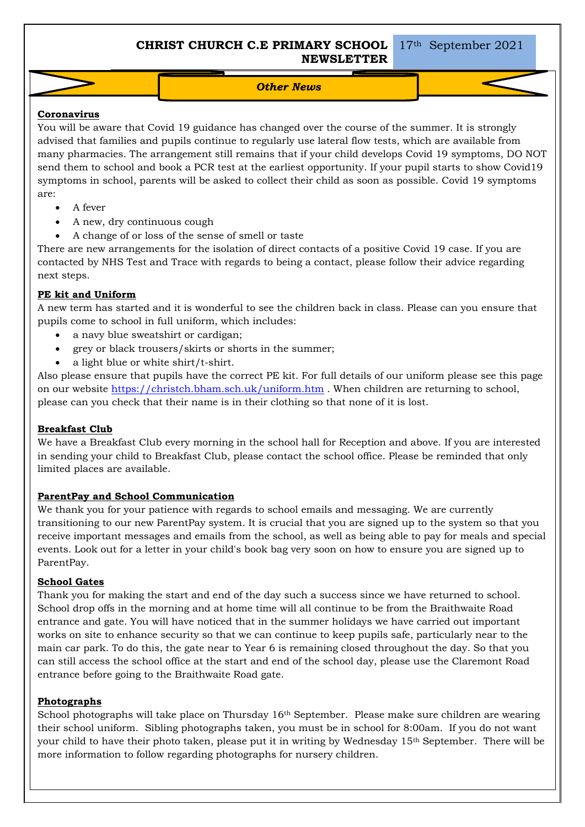**CHRIST CHURCH C.E PRIMARY SCHOOL NEWSLETTER**

*Other News*

### **Coronavirus**

You will be aware that Covid 19 guidance has changed over the course of the summer. It is strongly advised that families and pupils continue to regularly use lateral flow tests, which are available from many pharmacies. The arrangement still remains that if your child develops Covid 19 symptoms, DO NOT send them to school and book a PCR test at the earliest opportunity. If your pupil starts to show Covid19 symptoms in school, parents will be asked to collect their child as soon as possible. Covid 19 symptoms are:

- A fever
- A new, dry continuous cough
- A change of or loss of the sense of smell or taste

There are new arrangements for the isolation of direct contacts of a positive Covid 19 case. If you are contacted by NHS Test and Trace with regards to being a contact, please follow their advice regarding next steps.

### **PE kit and Uniform**

A new term has started and it is wonderful to see the children back in class. Please can you ensure that pupils come to school in full uniform, which includes:

- a navy blue sweatshirt or cardigan;
- grey or black trousers/skirts or shorts in the summer;
- a light blue or white shirt/t-shirt.

Also please ensure that pupils have the correct PE kit. For full details of our uniform please see this page on our website <https://christch.bham.sch.uk/uniform.htm> . When children are returning to school, please can you check that their name is in their clothing so that none of it is lost.

#### **Breakfast Club**

We have a Breakfast Club every morning in the school hall for Reception and above. If you are interested in sending your child to Breakfast Club, please contact the school office. Please be reminded that only limited places are available.

#### **ParentPay and School Communication**

We thank you for your patience with regards to school emails and messaging. We are currently transitioning to our new ParentPay system. It is crucial that you are signed up to the system so that you receive important messages and emails from the school, as well as being able to pay for meals and special events. Look out for a letter in your child's book bag very soon on how to ensure you are signed up to ParentPay.

#### **School Gates**

Thank you for making the start and end of the day such a success since we have returned to school. School drop offs in the morning and at home time will all continue to be from the Braithwaite Road entrance and gate. You will have noticed that in the summer holidays we have carried out important works on site to enhance security so that we can continue to keep pupils safe, particularly near to the main car park. To do this, the gate near to Year 6 is remaining closed throughout the day. So that you can still access the school office at the start and end of the school day, please use the Claremont Road entrance before going to the Braithwaite Road gate.

#### **Photographs**

School photographs will take place on Thursday 16<sup>th</sup> September. Please make sure children are wearing their school uniform. Sibling photographs taken, you must be in school for 8:00am. If you do not want your child to have their photo taken, please put it in writing by Wednesday 15th September. There will be more information to follow regarding photographs for nursery children.